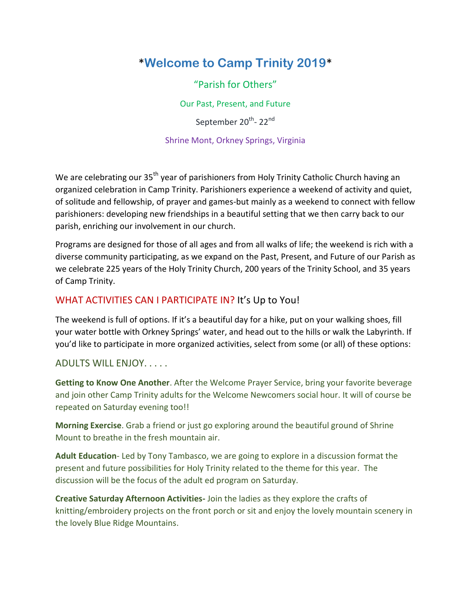# \***Welcome to Camp Trinity 2019**\*

"Parish for Others"

Our Past, Present, and Future

September 20<sup>th</sup>- 22<sup>nd</sup>

## Shrine Mont, Orkney Springs, Virginia

We are celebrating our 35<sup>th</sup> year of parishioners from Holy Trinity Catholic Church having an organized celebration in Camp Trinity. Parishioners experience a weekend of activity and quiet, of solitude and fellowship, of prayer and games-but mainly as a weekend to connect with fellow parishioners: developing new friendships in a beautiful setting that we then carry back to our parish, enriching our involvement in our church.

Programs are designed for those of all ages and from all walks of life; the weekend is rich with a diverse community participating, as we expand on the Past, Present, and Future of our Parish as we celebrate 225 years of the Holy Trinity Church, 200 years of the Trinity School, and 35 years of Camp Trinity.

# WHAT ACTIVITIES CAN I PARTICIPATE IN? It's Up to You!

The weekend is full of options. If it's a beautiful day for a hike, put on your walking shoes, fill your water bottle with Orkney Springs' water, and head out to the hills or walk the Labyrinth. If you'd like to participate in more organized activities, select from some (or all) of these options:

## ADULTS WILL ENJOY. . . . .

**Getting to Know One Another**. After the Welcome Prayer Service, bring your favorite beverage and join other Camp Trinity adults for the Welcome Newcomers social hour. It will of course be repeated on Saturday evening too!!

**Morning Exercise**. Grab a friend or just go exploring around the beautiful ground of Shrine Mount to breathe in the fresh mountain air.

**Adult Education**- Led by Tony Tambasco, we are going to explore in a discussion format the present and future possibilities for Holy Trinity related to the theme for this year. The discussion will be the focus of the adult ed program on Saturday.

**Creative Saturday Afternoon Activities-** Join the ladies as they explore the crafts of knitting/embroidery projects on the front porch or sit and enjoy the lovely mountain scenery in the lovely Blue Ridge Mountains.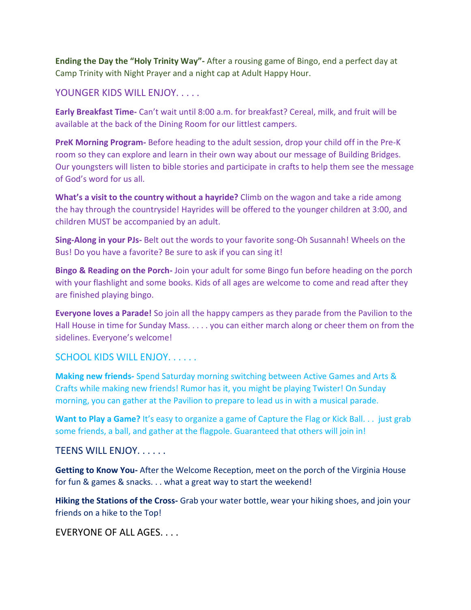**Ending the Day the "Holy Trinity Way"-** After a rousing game of Bingo, end a perfect day at Camp Trinity with Night Prayer and a night cap at Adult Happy Hour.

### YOUNGER KIDS WILL ENJOY.....

**Early Breakfast Time-** Can't wait until 8:00 a.m. for breakfast? Cereal, milk, and fruit will be available at the back of the Dining Room for our littlest campers.

**PreK Morning Program-** Before heading to the adult session, drop your child off in the Pre-K room so they can explore and learn in their own way about our message of Building Bridges. Our youngsters will listen to bible stories and participate in crafts to help them see the message of God's word for us all.

**What's a visit to the country without a hayride?** Climb on the wagon and take a ride among the hay through the countryside! Hayrides will be offered to the younger children at 3:00, and children MUST be accompanied by an adult.

**Sing-Along in your PJs-** Belt out the words to your favorite song-Oh Susannah! Wheels on the Bus! Do you have a favorite? Be sure to ask if you can sing it!

**Bingo & Reading on the Porch-** Join your adult for some Bingo fun before heading on the porch with your flashlight and some books. Kids of all ages are welcome to come and read after they are finished playing bingo.

**Everyone loves a Parade!** So join all the happy campers as they parade from the Pavilion to the Hall House in time for Sunday Mass. . . . . you can either march along or cheer them on from the sidelines. Everyone's welcome!

#### SCHOOL KIDS WILL ENJOY. . . . . .

**Making new friends-** Spend Saturday morning switching between Active Games and Arts & Crafts while making new friends! Rumor has it, you might be playing Twister! On Sunday morning, you can gather at the Pavilion to prepare to lead us in with a musical parade.

**Want to Play a Game?** It's easy to organize a game of Capture the Flag or Kick Ball. . . just grab some friends, a ball, and gather at the flagpole. Guaranteed that others will join in!

#### TEENS WILL ENJOY. . . . . .

**Getting to Know You-** After the Welcome Reception, meet on the porch of the Virginia House for fun & games & snacks. . . what a great way to start the weekend!

**Hiking the Stations of the Cross-** Grab your water bottle, wear your hiking shoes, and join your friends on a hike to the Top!

EVERYONE OF ALL AGES. . . .